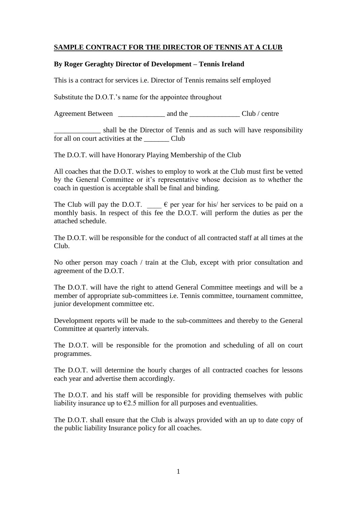### **SAMPLE CONTRACT FOR THE DIRECTOR OF TENNIS AT A CLUB**

#### **By Roger Geraghty Director of Development – Tennis Ireland**

This is a contract for services i.e. Director of Tennis remains self employed

Substitute the D.O.T.'s name for the appointee throughout

Agreement Between \_\_\_\_\_\_\_\_\_\_\_\_\_ and the \_\_\_\_\_\_\_\_\_\_\_\_\_\_ Club / centre

shall be the Director of Tennis and as such will have responsibility for all on court activities at the Club

The D.O.T. will have Honorary Playing Membership of the Club

All coaches that the D.O.T. wishes to employ to work at the Club must first be vetted by the General Committee or it's representative whose decision as to whether the coach in question is acceptable shall be final and binding.

The Club will pay the D.O.T.  $\qquad \in$  per year for his/ her services to be paid on a monthly basis. In respect of this fee the D.O.T. will perform the duties as per the attached schedule.

The D.O.T. will be responsible for the conduct of all contracted staff at all times at the Club.

No other person may coach / train at the Club, except with prior consultation and agreement of the D.O.T.

The D.O.T. will have the right to attend General Committee meetings and will be a member of appropriate sub-committees i.e. Tennis committee, tournament committee, junior development committee etc.

Development reports will be made to the sub-committees and thereby to the General Committee at quarterly intervals.

The D.O.T. will be responsible for the promotion and scheduling of all on court programmes.

The D.O.T. will determine the hourly charges of all contracted coaches for lessons each year and advertise them accordingly.

The D.O.T. and his staff will be responsible for providing themselves with public liability insurance up to  $\epsilon$ 2.5 million for all purposes and eventualities.

The D.O.T. shall ensure that the Club is always provided with an up to date copy of the public liability Insurance policy for all coaches.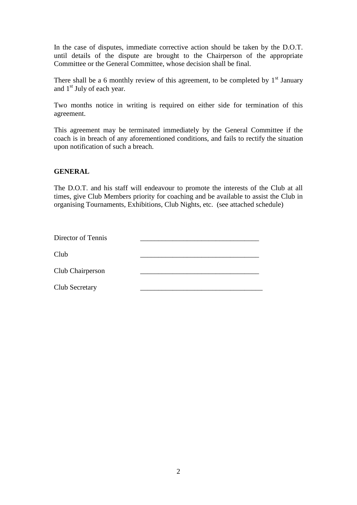In the case of disputes, immediate corrective action should be taken by the D.O.T. until details of the dispute are brought to the Chairperson of the appropriate Committee or the General Committee, whose decision shall be final.

There shall be a 6 monthly review of this agreement, to be completed by  $1<sup>st</sup>$  January and  $1<sup>st</sup>$  July of each year.

Two months notice in writing is required on either side for termination of this agreement.

This agreement may be terminated immediately by the General Committee if the coach is in breach of any aforementioned conditions, and fails to rectify the situation upon notification of such a breach.

#### **GENERAL**

The D.O.T. and his staff will endeavour to promote the interests of the Club at all times, give Club Members priority for coaching and be available to assist the Club in organising Tournaments, Exhibitions, Club Nights, etc. (see attached schedule)

| Director of Tennis |  |
|--------------------|--|
| Club               |  |
| Club Chairperson   |  |
| Club Secretary     |  |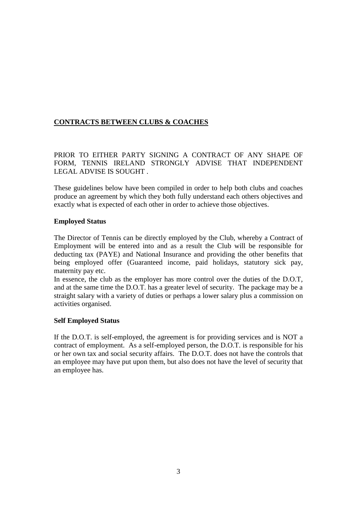## **CONTRACTS BETWEEN CLUBS & COACHES**

PRIOR TO EITHER PARTY SIGNING A CONTRACT OF ANY SHAPE OF FORM, TENNIS IRELAND STRONGLY ADVISE THAT INDEPENDENT LEGAL ADVISE IS SOUGHT .

These guidelines below have been compiled in order to help both clubs and coaches produce an agreement by which they both fully understand each others objectives and exactly what is expected of each other in order to achieve those objectives.

#### **Employed Status**

The Director of Tennis can be directly employed by the Club, whereby a Contract of Employment will be entered into and as a result the Club will be responsible for deducting tax (PAYE) and National Insurance and providing the other benefits that being employed offer (Guaranteed income, paid holidays, statutory sick pay, maternity pay etc.

In essence, the club as the employer has more control over the duties of the D.O.T, and at the same time the D.O.T. has a greater level of security. The package may be a straight salary with a variety of duties or perhaps a lower salary plus a commission on activities organised.

### **Self Employed Status**

If the D.O.T. is self-employed, the agreement is for providing services and is NOT a contract of employment. As a self-employed person, the D.O.T. is responsible for his or her own tax and social security affairs. The D.O.T. does not have the controls that an employee may have put upon them, but also does not have the level of security that an employee has.